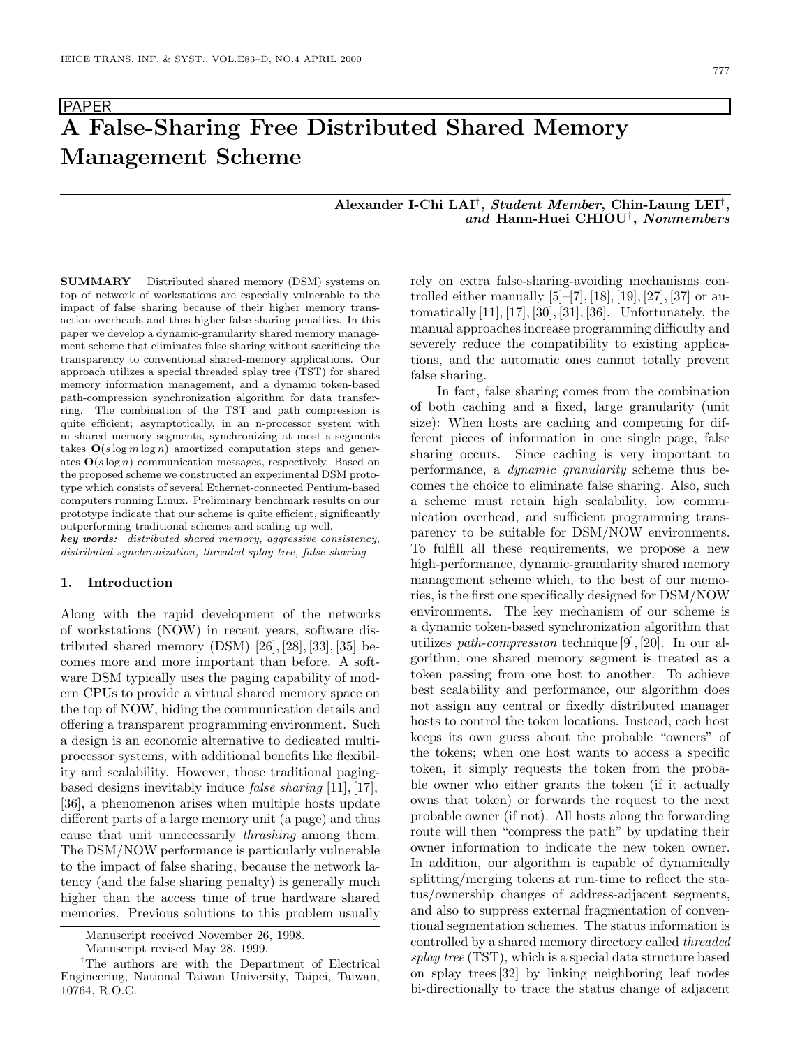# PAPER **A False-Sharing Free Distributed Shared Memory Management Scheme**

## **Alexander I-Chi LAI***†***,** *Student Member***, Chin-Laung LEI***†***,** *and* **Hann-Huei CHIOU***†***,** *Nonmembers*

**SUMMARY** Distributed shared memory (DSM) systems on top of network of workstations are especially vulnerable to the impact of false sharing because of their higher memory transaction overheads and thus higher false sharing penalties. In this paper we develop a dynamic-granularity shared memory management scheme that eliminates false sharing without sacrificing the transparency to conventional shared-memory applications. Our approach utilizes a special threaded splay tree (TST) for shared memory information management, and a dynamic token-based path-compression synchronization algorithm for data transferring. The combination of the TST and path compression is quite efficient; asymptotically, in an n-processor system with m shared memory segments, synchronizing at most s segments takes  $O(s \log m \log n)$  amortized computation steps and generates **O**(*s* log *n*) communication messages, respectively. Based on the proposed scheme we constructed an experimental DSM prototype which consists of several Ethernet-connected Pentium-based computers running Linux. Preliminary benchmark results on our prototype indicate that our scheme is quite efficient, significantly outperforming traditional schemes and scaling up well. *key words: distributed shared memory, aggressive consistency,*

*distributed synchronization, threaded splay tree, false sharing*

#### **1. Introduction**

Along with the rapid development of the networks of workstations (NOW) in recent years, software distributed shared memory  $(DSM)$  [26], [28], [33], [35] becomes more and more important than before. A software DSM typically uses the paging capability of modern CPUs to provide a virtual shared memory space on the top of NOW, hiding the communication details and offering a transparent programming environment. Such a design is an economic alternative to dedicated multiprocessor systems, with additional benefits like flexibility and scalability. However, those traditional pagingbased designs inevitably induce *false sharing* [11], [17], [36], a phenomenon arises when multiple hosts update different parts of a large memory unit (a page) and thus cause that unit unnecessarily *thrashing* among them. The DSM/NOW performance is particularly vulnerable to the impact of false sharing, because the network latency (and the false sharing penalty) is generally much higher than the access time of true hardware shared memories. Previous solutions to this problem usually

rely on extra false-sharing-avoiding mechanisms controlled either manually  $[5]$ –[7], [18], [19], [27], [37] or automatically  $[11]$ ,  $[17]$ ,  $[30]$ ,  $[31]$ ,  $[36]$ . Unfortunately, the manual approaches increase programming difficulty and severely reduce the compatibility to existing applications, and the automatic ones cannot totally prevent false sharing.

In fact, false sharing comes from the combination of both caching and a fixed, large granularity (unit size): When hosts are caching and competing for different pieces of information in one single page, false sharing occurs. Since caching is very important to performance, a *dynamic granularity* scheme thus becomes the choice to eliminate false sharing. Also, such a scheme must retain high scalability, low communication overhead, and sufficient programming transparency to be suitable for DSM/NOW environments. To fulfill all these requirements, we propose a new high-performance, dynamic-granularity shared memory management scheme which, to the best of our memories, is the first one specifically designed for DSM/NOW environments. The key mechanism of our scheme is a dynamic token-based synchronization algorithm that utilizes *path-compression* technique [9], [20]. In our algorithm, one shared memory segment is treated as a token passing from one host to another. To achieve best scalability and performance, our algorithm does not assign any central or fixedly distributed manager hosts to control the token locations. Instead, each host keeps its own guess about the probable "owners" of the tokens; when one host wants to access a specific token, it simply requests the token from the probable owner who either grants the token (if it actually owns that token) or forwards the request to the next probable owner (if not). All hosts along the forwarding route will then "compress the path" by updating their owner information to indicate the new token owner. In addition, our algorithm is capable of dynamically splitting/merging tokens at run-time to reflect the status/ownership changes of address-adjacent segments, and also to suppress external fragmentation of conventional segmentation schemes. The status information is controlled by a shared memory directory called *threaded splay tree* (TST), which is a special data structure based on splay trees [32] by linking neighboring leaf nodes bi-directionally to trace the status change of adjacent

Manuscript received November 26, 1998.

Manuscript revised May 28, 1999.

*<sup>†</sup>*The authors are with the Department of Electrical Engineering, National Taiwan University, Taipei, Taiwan, 10764, R.O.C.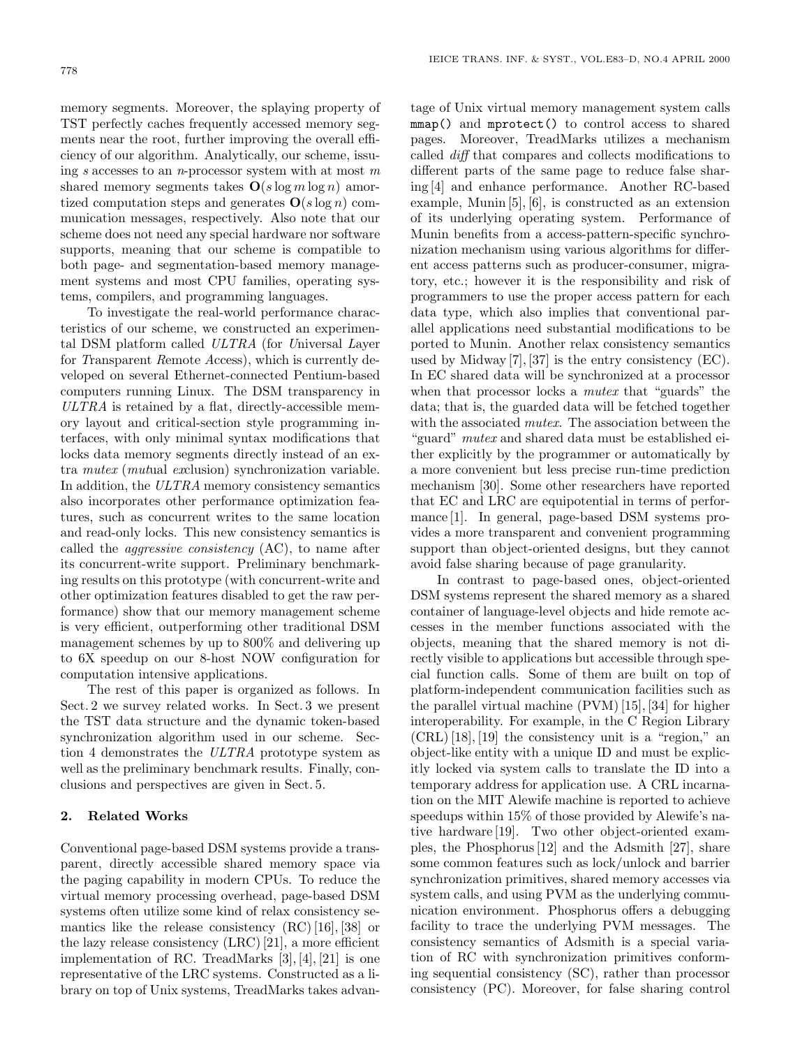memory segments. Moreover, the splaying property of TST perfectly caches frequently accessed memory segments near the root, further improving the overall efficiency of our algorithm. Analytically, our scheme, issuing *s* accesses to an *n*-processor system with at most *m* shared memory segments takes  $O(s \log m \log n)$  amortized computation steps and generates  $O(s \log n)$  communication messages, respectively. Also note that our scheme does not need any special hardware nor software supports, meaning that our scheme is compatible to both page- and segmentation-based memory management systems and most CPU families, operating systems, compilers, and programming languages.

To investigate the real-world performance characteristics of our scheme, we constructed an experimental DSM platform called *ULTRA* (for *U*niversal *L*ayer for *T*ransparent *R*emote *A*ccess), which is currently developed on several Ethernet-connected Pentium-based computers running Linux. The DSM transparency in *ULTRA* is retained by a flat, directly-accessible memory layout and critical-section style programming interfaces, with only minimal syntax modifications that locks data memory segments directly instead of an extra *mutex* (*mut*ual *ex*clusion) synchronization variable. In addition, the *ULTRA* memory consistency semantics also incorporates other performance optimization features, such as concurrent writes to the same location and read-only locks. This new consistency semantics is called the *aggressive consistency* (AC), to name after its concurrent-write support. Preliminary benchmarking results on this prototype (with concurrent-write and other optimization features disabled to get the raw performance) show that our memory management scheme is very efficient, outperforming other traditional DSM management schemes by up to 800% and delivering up to 6X speedup on our 8-host NOW configuration for computation intensive applications.

The rest of this paper is organized as follows. In Sect. 2 we survey related works. In Sect. 3 we present the TST data structure and the dynamic token-based synchronization algorithm used in our scheme. Section 4 demonstrates the *ULTRA* prototype system as well as the preliminary benchmark results. Finally, conclusions and perspectives are given in Sect. 5.

# **2. Related Works**

Conventional page-based DSM systems provide a transparent, directly accessible shared memory space via the paging capability in modern CPUs. To reduce the virtual memory processing overhead, page-based DSM systems often utilize some kind of relax consistency semantics like the release consistency (RC) [16], [38] or the lazy release consistency (LRC) [21], a more efficient implementation of RC. TreadMarks [3], [4], [21] is one representative of the LRC systems. Constructed as a library on top of Unix systems, TreadMarks takes advantage of Unix virtual memory management system calls mmap() and mprotect() to control access to shared pages. Moreover, TreadMarks utilizes a mechanism called *diff* that compares and collects modifications to different parts of the same page to reduce false sharing [4] and enhance performance. Another RC-based example, Munin [5], [6], is constructed as an extension of its underlying operating system. Performance of Munin benefits from a access-pattern-specific synchronization mechanism using various algorithms for different access patterns such as producer-consumer, migratory, etc.; however it is the responsibility and risk of programmers to use the proper access pattern for each data type, which also implies that conventional parallel applications need substantial modifications to be ported to Munin. Another relax consistency semantics used by Midway [7], [37] is the entry consistency (EC). In EC shared data will be synchronized at a processor when that processor locks a *mutex* that "guards" the data; that is, the guarded data will be fetched together with the associated *mutex*. The association between the "guard" *mutex* and shared data must be established either explicitly by the programmer or automatically by a more convenient but less precise run-time prediction mechanism [30]. Some other researchers have reported that EC and LRC are equipotential in terms of performance [1]. In general, page-based DSM systems provides a more transparent and convenient programming support than object-oriented designs, but they cannot avoid false sharing because of page granularity.

In contrast to page-based ones, object-oriented DSM systems represent the shared memory as a shared container of language-level objects and hide remote accesses in the member functions associated with the objects, meaning that the shared memory is not directly visible to applications but accessible through special function calls. Some of them are built on top of platform-independent communication facilities such as the parallel virtual machine (PVM) [15], [34] for higher interoperability. For example, in the C Region Library (CRL) [18], [19] the consistency unit is a "region," an object-like entity with a unique ID and must be explicitly locked via system calls to translate the ID into a temporary address for application use. A CRL incarnation on the MIT Alewife machine is reported to achieve speedups within 15% of those provided by Alewife's native hardware [19]. Two other object-oriented examples, the Phosphorus [12] and the Adsmith [27], share some common features such as lock/unlock and barrier synchronization primitives, shared memory accesses via system calls, and using PVM as the underlying communication environment. Phosphorus offers a debugging facility to trace the underlying PVM messages. The consistency semantics of Adsmith is a special variation of RC with synchronization primitives conforming sequential consistency (SC), rather than processor consistency (PC). Moreover, for false sharing control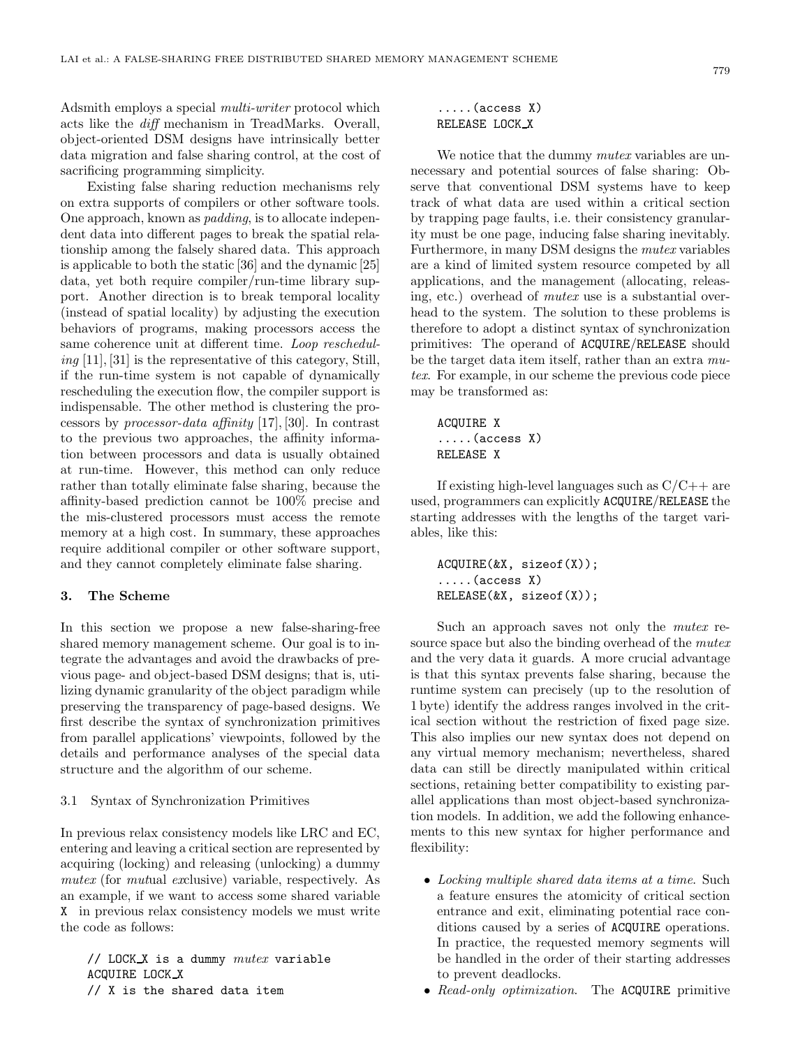Adsmith employs a special *multi-writer* protocol which acts like the *diff* mechanism in TreadMarks. Overall, object-oriented DSM designs have intrinsically better data migration and false sharing control, at the cost of sacrificing programming simplicity.

Existing false sharing reduction mechanisms rely on extra supports of compilers or other software tools. One approach, known as *padding*, is to allocate independent data into different pages to break the spatial relationship among the falsely shared data. This approach is applicable to both the static [36] and the dynamic [25] data, yet both require compiler/run-time library support. Another direction is to break temporal locality (instead of spatial locality) by adjusting the execution behaviors of programs, making processors access the same coherence unit at different time. *Loop rescheduling* [11], [31] is the representative of this category, Still, if the run-time system is not capable of dynamically rescheduling the execution flow, the compiler support is indispensable. The other method is clustering the processors by *processor-data affinity* [17], [30]. In contrast to the previous two approaches, the affinity information between processors and data is usually obtained at run-time. However, this method can only reduce rather than totally eliminate false sharing, because the affinity-based prediction cannot be 100% precise and the mis-clustered processors must access the remote memory at a high cost. In summary, these approaches require additional compiler or other software support, and they cannot completely eliminate false sharing.

#### **3. The Scheme**

In this section we propose a new false-sharing-free shared memory management scheme. Our goal is to integrate the advantages and avoid the drawbacks of previous page- and object-based DSM designs; that is, utilizing dynamic granularity of the object paradigm while preserving the transparency of page-based designs. We first describe the syntax of synchronization primitives from parallel applications' viewpoints, followed by the details and performance analyses of the special data structure and the algorithm of our scheme.

## 3.1 Syntax of Synchronization Primitives

In previous relax consistency models like LRC and EC, entering and leaving a critical section are represented by acquiring (locking) and releasing (unlocking) a dummy *mutex* (for *mut*ual *ex*clusive) variable, respectively. As an example, if we want to access some shared variable X in previous relax consistency models we must write the code as follows:

// LOCK X is a dummy *mutex* variable ACQUIRE LOCK X // X is the shared data item

## .....(access X) RELEASE LOCK X

We notice that the dummy *mutex* variables are unnecessary and potential sources of false sharing: Observe that conventional DSM systems have to keep track of what data are used within a critical section by trapping page faults, i.e. their consistency granularity must be one page, inducing false sharing inevitably. Furthermore, in many DSM designs the *mutex* variables are a kind of limited system resource competed by all applications, and the management (allocating, releasing, etc.) overhead of *mutex* use is a substantial overhead to the system. The solution to these problems is therefore to adopt a distinct syntax of synchronization primitives: The operand of ACQUIRE/RELEASE should be the target data item itself, rather than an extra *mutex*. For example, in our scheme the previous code piece may be transformed as:

ACQUIRE X .....(access X) RELEASE X

If existing high-level languages such as  $C/C++$  are used, programmers can explicitly ACQUIRE/RELEASE the starting addresses with the lengths of the target variables, like this:

ACQUIRE(&X, sizeof(X)); .....(access X) RELEASE(&X, sizeof(X));

Such an approach saves not only the *mutex* resource space but also the binding overhead of the *mutex* and the very data it guards. A more crucial advantage is that this syntax prevents false sharing, because the runtime system can precisely (up to the resolution of 1 byte) identify the address ranges involved in the critical section without the restriction of fixed page size. This also implies our new syntax does not depend on any virtual memory mechanism; nevertheless, shared data can still be directly manipulated within critical sections, retaining better compatibility to existing parallel applications than most object-based synchronization models. In addition, we add the following enhancements to this new syntax for higher performance and flexibility:

- *Locking multiple shared data items at a time*. Such a feature ensures the atomicity of critical section entrance and exit, eliminating potential race conditions caused by a series of ACQUIRE operations. In practice, the requested memory segments will be handled in the order of their starting addresses to prevent deadlocks.
- *Read-only optimization*. The ACQUIRE primitive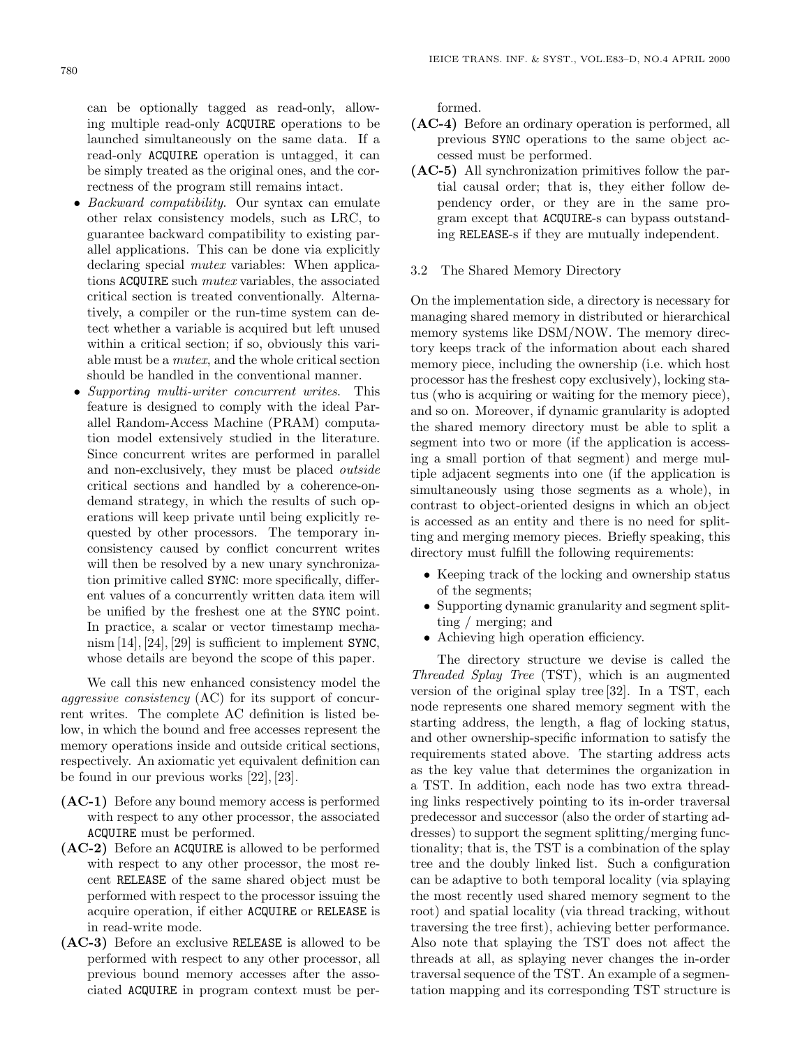can be optionally tagged as read-only, allowing multiple read-only ACQUIRE operations to be launched simultaneously on the same data. If a read-only ACQUIRE operation is untagged, it can be simply treated as the original ones, and the correctness of the program still remains intact.

- *Backward compatibility*. Our syntax can emulate other relax consistency models, such as LRC, to guarantee backward compatibility to existing parallel applications. This can be done via explicitly declaring special *mutex* variables: When applications ACQUIRE such *mutex* variables, the associated critical section is treated conventionally. Alternatively, a compiler or the run-time system can detect whether a variable is acquired but left unused within a critical section; if so, obviously this variable must be a *mutex*, and the whole critical section should be handled in the conventional manner.
- *Supporting multi-writer concurrent writes*. This feature is designed to comply with the ideal Parallel Random-Access Machine (PRAM) computation model extensively studied in the literature. Since concurrent writes are performed in parallel and non-exclusively, they must be placed *outside* critical sections and handled by a coherence-ondemand strategy, in which the results of such operations will keep private until being explicitly requested by other processors. The temporary inconsistency caused by conflict concurrent writes will then be resolved by a new unary synchronization primitive called SYNC: more specifically, different values of a concurrently written data item will be unified by the freshest one at the SYNC point. In practice, a scalar or vector timestamp mechanism [14], [24], [29] is sufficient to implement SYNC, whose details are beyond the scope of this paper.

We call this new enhanced consistency model the *aggressive consistency* (AC) for its support of concurrent writes. The complete AC definition is listed below, in which the bound and free accesses represent the memory operations inside and outside critical sections, respectively. An axiomatic yet equivalent definition can be found in our previous works [22], [23].

- **(AC-1)** Before any bound memory access is performed with respect to any other processor, the associated ACQUIRE must be performed.
- **(AC-2)** Before an ACQUIRE is allowed to be performed with respect to any other processor, the most recent RELEASE of the same shared object must be performed with respect to the processor issuing the acquire operation, if either ACQUIRE or RELEASE is in read-write mode.
- **(AC-3)** Before an exclusive RELEASE is allowed to be performed with respect to any other processor, all previous bound memory accesses after the associated ACQUIRE in program context must be per-

formed.

- **(AC-4)** Before an ordinary operation is performed, all previous SYNC operations to the same object accessed must be performed.
- **(AC-5)** All synchronization primitives follow the partial causal order; that is, they either follow dependency order, or they are in the same program except that ACQUIRE-s can bypass outstanding RELEASE-s if they are mutually independent.
- 3.2 The Shared Memory Directory

On the implementation side, a directory is necessary for managing shared memory in distributed or hierarchical memory systems like DSM/NOW. The memory directory keeps track of the information about each shared memory piece, including the ownership (i.e. which host processor has the freshest copy exclusively), locking status (who is acquiring or waiting for the memory piece), and so on. Moreover, if dynamic granularity is adopted the shared memory directory must be able to split a segment into two or more (if the application is accessing a small portion of that segment) and merge multiple adjacent segments into one (if the application is simultaneously using those segments as a whole), in contrast to object-oriented designs in which an object is accessed as an entity and there is no need for splitting and merging memory pieces. Briefly speaking, this directory must fulfill the following requirements:

- Keeping track of the locking and ownership status of the segments;
- Supporting dynamic granularity and segment splitting / merging; and
- Achieving high operation efficiency.

The directory structure we devise is called the *Threaded Splay Tree* (TST), which is an augmented version of the original splay tree [32]. In a TST, each node represents one shared memory segment with the starting address, the length, a flag of locking status, and other ownership-specific information to satisfy the requirements stated above. The starting address acts as the key value that determines the organization in a TST. In addition, each node has two extra threading links respectively pointing to its in-order traversal predecessor and successor (also the order of starting addresses) to support the segment splitting/merging functionality; that is, the TST is a combination of the splay tree and the doubly linked list. Such a configuration can be adaptive to both temporal locality (via splaying the most recently used shared memory segment to the root) and spatial locality (via thread tracking, without traversing the tree first), achieving better performance. Also note that splaying the TST does not affect the threads at all, as splaying never changes the in-order traversal sequence of the TST. An example of a segmentation mapping and its corresponding TST structure is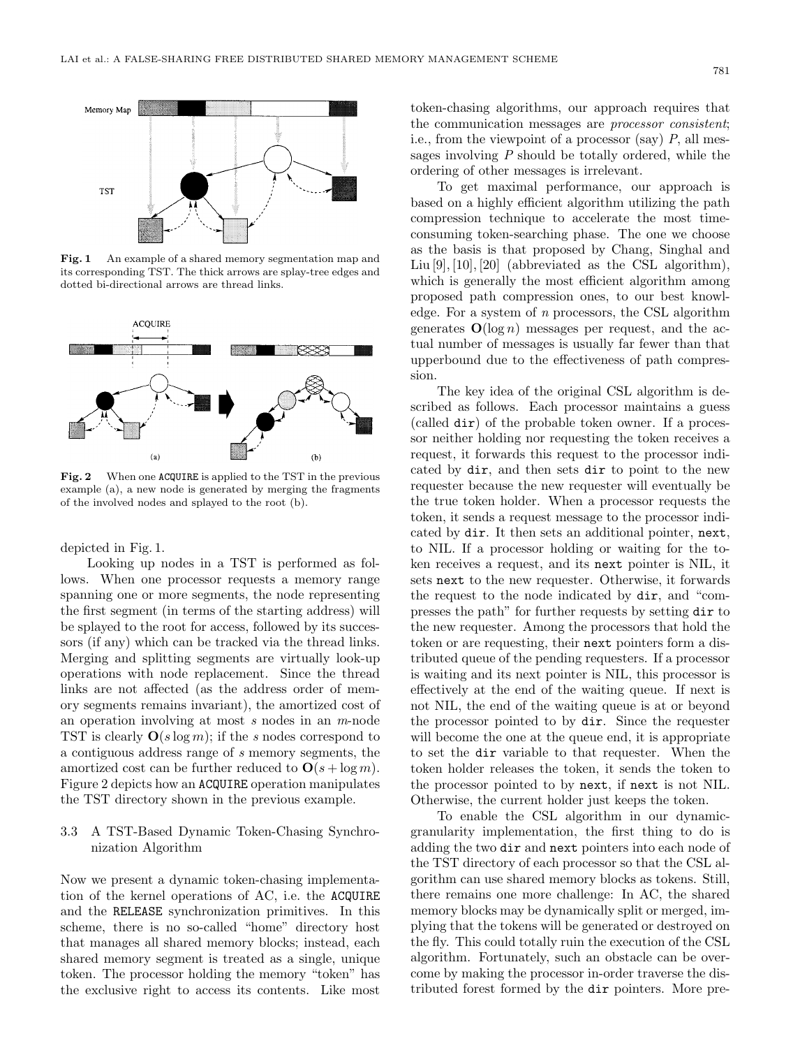

Fig. 1 An example of a shared memory segmentation map and its corresponding TST. The thick arrows are splay-tree edges and dotted bi-directional arrows are thread links.



**Fig. 2** When one ACQUIRE is applied to the TST in the previous example (a), a new node is generated by merging the fragments of the involved nodes and splayed to the root (b).

depicted in Fig. 1.

Looking up nodes in a TST is performed as follows. When one processor requests a memory range spanning one or more segments, the node representing the first segment (in terms of the starting address) will be splayed to the root for access, followed by its successors (if any) which can be tracked via the thread links. Merging and splitting segments are virtually look-up operations with node replacement. Since the thread links are not affected (as the address order of memory segments remains invariant), the amortized cost of an operation involving at most *s* nodes in an *m*-node TST is clearly **O**(*s* log *m*); if the *s* nodes correspond to a contiguous address range of *s* memory segments, the amortized cost can be further reduced to  $\mathbf{O}(s + \log m)$ . Figure 2 depicts how an ACQUIRE operation manipulates the TST directory shown in the previous example.

# 3.3 A TST-Based Dynamic Token-Chasing Synchronization Algorithm

Now we present a dynamic token-chasing implementation of the kernel operations of AC, i.e. the ACQUIRE and the RELEASE synchronization primitives. In this scheme, there is no so-called "home" directory host that manages all shared memory blocks; instead, each shared memory segment is treated as a single, unique token. The processor holding the memory "token" has the exclusive right to access its contents. Like most

token-chasing algorithms, our approach requires that the communication messages are *processor consistent*; i.e., from the viewpoint of a processor (say) *P*, all messages involving *P* should be totally ordered, while the ordering of other messages is irrelevant.

To get maximal performance, our approach is based on a highly efficient algorithm utilizing the path compression technique to accelerate the most timeconsuming token-searching phase. The one we choose as the basis is that proposed by Chang, Singhal and Liu [9], [10], [20] (abbreviated as the CSL algorithm), which is generally the most efficient algorithm among proposed path compression ones, to our best knowledge. For a system of *n* processors, the CSL algorithm generates  $O(\log n)$  messages per request, and the actual number of messages is usually far fewer than that upperbound due to the effectiveness of path compression.

The key idea of the original CSL algorithm is described as follows. Each processor maintains a guess (called dir) of the probable token owner. If a processor neither holding nor requesting the token receives a request, it forwards this request to the processor indicated by dir, and then sets dir to point to the new requester because the new requester will eventually be the true token holder. When a processor requests the token, it sends a request message to the processor indicated by dir. It then sets an additional pointer, next, to NIL. If a processor holding or waiting for the token receives a request, and its next pointer is NIL, it sets next to the new requester. Otherwise, it forwards the request to the node indicated by dir, and "compresses the path" for further requests by setting dir to the new requester. Among the processors that hold the token or are requesting, their next pointers form a distributed queue of the pending requesters. If a processor is waiting and its next pointer is NIL, this processor is effectively at the end of the waiting queue. If next is not NIL, the end of the waiting queue is at or beyond the processor pointed to by dir. Since the requester will become the one at the queue end, it is appropriate to set the dir variable to that requester. When the token holder releases the token, it sends the token to the processor pointed to by next, if next is not NIL. Otherwise, the current holder just keeps the token.

To enable the CSL algorithm in our dynamicgranularity implementation, the first thing to do is adding the two dir and next pointers into each node of the TST directory of each processor so that the CSL algorithm can use shared memory blocks as tokens. Still, there remains one more challenge: In AC, the shared memory blocks may be dynamically split or merged, implying that the tokens will be generated or destroyed on the fly. This could totally ruin the execution of the CSL algorithm. Fortunately, such an obstacle can be overcome by making the processor in-order traverse the distributed forest formed by the dir pointers. More pre-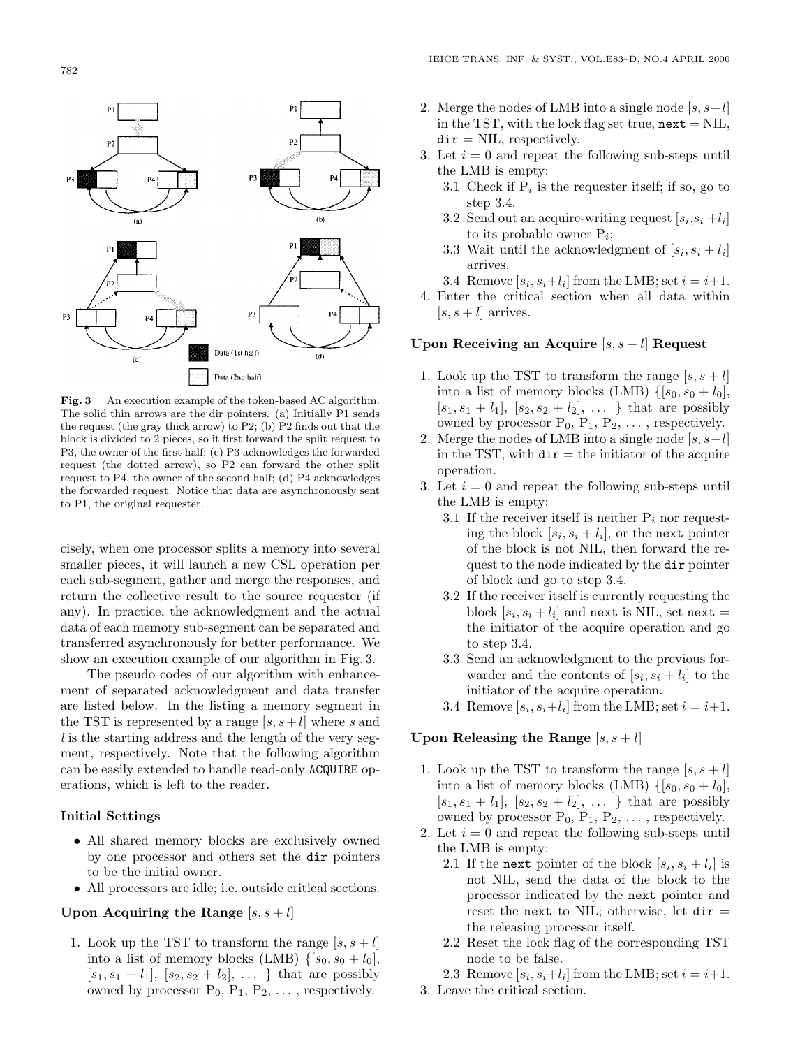

**Fig. 3** An execution example of the token-based AC algorithm. The solid thin arrows are the dir pointers. (a) Initially P1 sends the request (the gray thick arrow) to P2; (b) P2 finds out that the block is divided to 2 pieces, so it first forward the split request to P3, the owner of the first half; (c) P3 acknowledges the forwarded request (the dotted arrow), so P2 can forward the other split request to P4, the owner of the second half; (d) P4 acknowledges the forwarded request. Notice that data are asynchronously sent to P1, the original requester.

cisely, when one processor splits a memory into several smaller pieces, it will launch a new CSL operation per each sub-segment, gather and merge the responses, and return the collective result to the source requester (if any). In practice, the acknowledgment and the actual data of each memory sub-segment can be separated and transferred asynchronously for better performance. We show an execution example of our algorithm in Fig. 3.

The pseudo codes of our algorithm with enhancement of separated acknowledgment and data transfer are listed below. In the listing a memory segment in the TST is represented by a range  $[s, s+l]$  where  $s$  and *l* is the starting address and the length of the very segment, respectively. Note that the following algorithm can be easily extended to handle read-only ACQUIRE operations, which is left to the reader.

## **Initial Settings**

- All shared memory blocks are exclusively owned by one processor and others set the dir pointers to be the initial owner.
- All processors are idle; i.e. outside critical sections.

# Upon Acquiring the Range  $[s, s+l]$

1. Look up the TST to transform the range  $[s, s+l]$ into a list of memory blocks (LMB)  $\{[s_0, s_0 + l_0],$  $[s_1, s_1 + l_1], [s_2, s_2 + l_2], \ldots \}$  that are possibly owned by processor  $P_0$ ,  $P_1$ ,  $P_2$ ,  $\dots$ , respectively.

- 2. Merge the nodes of LMB into a single node  $[s, s+l]$ in the TST, with the lock flag set true,  $next = NIL$ ,  $\text{dir} = \text{NIL}$ , respectively.
- 3. Let  $i = 0$  and repeat the following sub-steps until the LMB is empty:
	- 3.1 Check if  $P_i$  is the requester itself; if so, go to step 3.4.
	- 3.2 Send out an acquire-writing request  $[s_i, s_i + l_i]$ to its probable owner P*i*;
	- 3.3 Wait until the acknowledgment of  $[s_i, s_i + l_i]$ arrives.
	- 3.4 Remove  $[s_i, s_i+l_i]$  from the LMB; set  $i = i+1$ .
- 4. Enter the critical section when all data within  $[s, s+l]$  arrives.

### **Upon Receiving an Acquire** [*s, s* + *l*] **Request**

- 1. Look up the TST to transform the range  $[s, s+l]$ into a list of memory blocks (LMB)  $\{[s_0, s_0 + l_0],$  $[s_1, s_1 + l_1], [s_2, s_2 + l_2], \ldots \}$  that are possibly owned by processor  $P_0$ ,  $P_1$ ,  $P_2$ ,  $\dots$ , respectively.
- 2. Merge the nodes of LMB into a single node  $[s, s+l]$ in the TST, with  $\text{dir} = \text{the}\text{initiator}$  of the acquire operation.
- 3. Let  $i = 0$  and repeat the following sub-steps until the LMB is empty:
	- 3.1 If the receiver itself is neither  $P_i$  nor requesting the block  $[s_i, s_i + l_i]$ , or the next pointer of the block is not NIL, then forward the request to the node indicated by the dir pointer of block and go to step 3.4.
	- 3.2 If the receiver itself is currently requesting the block  $[s_i, s_i + l_i]$  and next is NIL, set next = the initiator of the acquire operation and go to step 3.4.
	- 3.3 Send an acknowledgment to the previous forwarder and the contents of  $[s_i, s_i + l_i]$  to the initiator of the acquire operation.
	- 3.4 Remove  $[s_i, s_i+l_i]$  from the LMB; set  $i = i+1$ .

### Upon Releasing the Range  $[s, s+l]$

- 1. Look up the TST to transform the range  $[s, s+l]$ into a list of memory blocks (LMB)  $\{[s_0, s_0 + l_0],$  $[s_1, s_1 + l_1], [s_2, s_2 + l_2], \ldots \}$  that are possibly owned by processor  $P_0$ ,  $P_1$ ,  $P_2$ ,  $\dots$ , respectively.
- 2. Let  $i = 0$  and repeat the following sub-steps until the LMB is empty:
	- 2.1 If the next pointer of the block  $[s_i, s_i + l_i]$  is not NIL, send the data of the block to the processor indicated by the next pointer and reset the next to NIL; otherwise, let  $\text{dir} =$ the releasing processor itself.
	- 2.2 Reset the lock flag of the corresponding TST node to be false.
	- 2.3 Remove  $[s_i, s_i+l_i]$  from the LMB; set  $i = i+1$ .
- 3. Leave the critical section.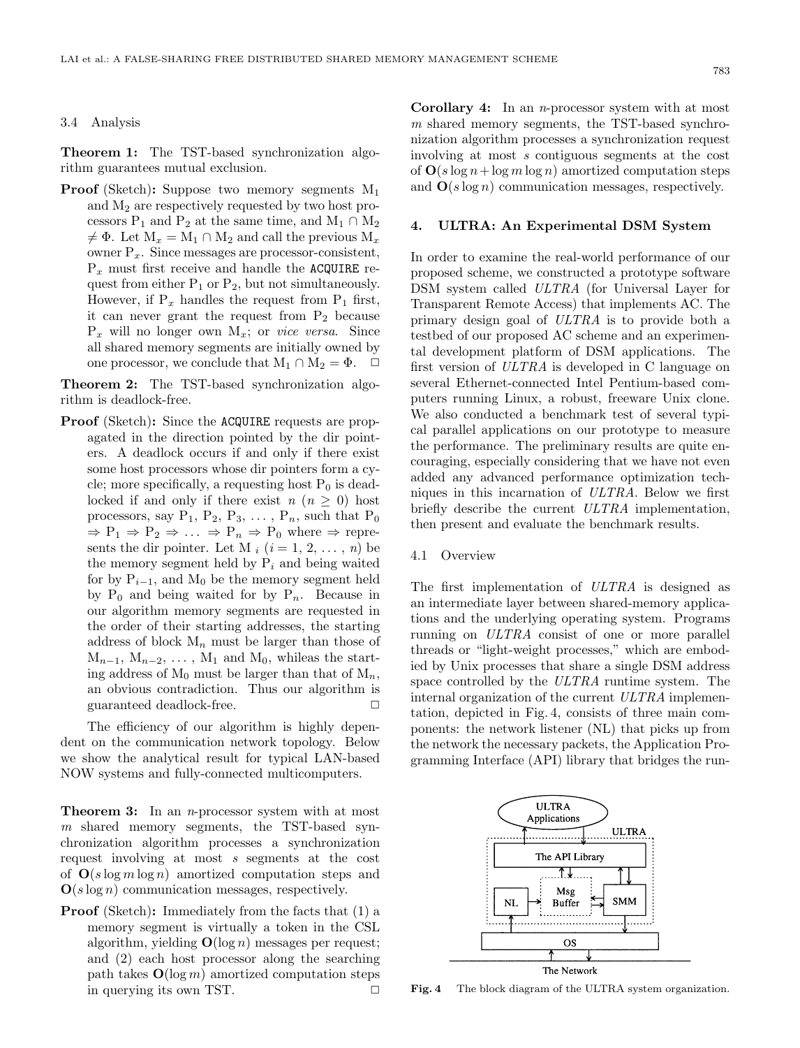#### 3.4 Analysis

**Theorem 1:** The TST-based synchronization algorithm guarantees mutual exclusion.

**Proof** (Sketch): Suppose two memory segments  $M_1$ and  $M_2$  are respectively requested by two host processors P<sub>1</sub> and P<sub>2</sub> at the same time, and M<sub>1</sub> ∩ M<sub>2</sub>  $\neq \Phi$ . Let  $M_x = M_1 \cap M_2$  and call the previous  $M_x$ owner P*x*. Since messages are processor-consistent,  $P_x$  must first receive and handle the ACQUIRE request from either  $P_1$  or  $P_2$ , but not simultaneously. However, if  $P_x$  handles the request from  $P_1$  first, it can never grant the request from  $P_2$  because  $P_x$  will no longer own  $M_x$ ; or *vice versa*. Since all shared memory segments are initially owned by one processor, we conclude that  $M_1 \cap M_2 = \Phi$ .  $\Box$ 

**Theorem 2:** The TST-based synchronization algorithm is deadlock-free.

**Proof** (Sketch): Since the **ACQUIRE** requests are propagated in the direction pointed by the dir pointers. A deadlock occurs if and only if there exist some host processors whose dir pointers form a cycle; more specifically, a requesting host  $P_0$  is deadlocked if and only if there exist  $n (n \geq 0)$  host processors, say  $P_1$ ,  $P_2$ ,  $P_3$ ,  $\dots$ ,  $P_n$ , such that  $P_0$  $\Rightarrow$   $P_1 \Rightarrow P_2 \Rightarrow \dots \Rightarrow P_n \Rightarrow P_0$  where  $\Rightarrow$  represents the dir pointer. Let M  $_i$   $(i = 1, 2, \ldots, n)$  be the memory segment held by P*<sup>i</sup>* and being waited for by  $P_{i-1}$ , and M<sub>0</sub> be the memory segment held by  $P_0$  and being waited for by  $P_n$ . Because in our algorithm memory segments are requested in the order of their starting addresses, the starting address of block  $M_n$  must be larger than those of  $M_{n-1}$ ,  $M_{n-2}$ ,  $\dots$ ,  $M_1$  and  $M_0$ , whileas the starting address of  $M_0$  must be larger than that of  $M_n$ , an obvious contradiction. Thus our algorithm is guaranteed deadlock-free.

The efficiency of our algorithm is highly dependent on the communication network topology. Below we show the analytical result for typical LAN-based NOW systems and fully-connected multicomputers.

**Theorem 3:** In an *n*-processor system with at most *m* shared memory segments, the TST-based synchronization algorithm processes a synchronization request involving at most *s* segments at the cost of **O**(*s* log *m* log *n*) amortized computation steps and **O**(*s* log *n*) communication messages, respectively.

**Proof** (Sketch): Immediately from the facts that (1) a memory segment is virtually a token in the CSL algorithm, yielding **O**(log *n*) messages per request; and (2) each host processor along the searching path takes  $O(\log m)$  amortized computation steps in querying its own TST.  $\Box$ 

**Corollary 4:** In an *n*-processor system with at most *m* shared memory segments, the TST-based synchronization algorithm processes a synchronization request involving at most *s* contiguous segments at the cost of  $\mathbf{O}(s \log n + \log m \log n)$  amortized computation steps and **O**(*s* log *n*) communication messages, respectively.

#### **4. ULTRA: An Experimental DSM System**

In order to examine the real-world performance of our proposed scheme, we constructed a prototype software DSM system called *ULTRA* (for Universal Layer for Transparent Remote Access) that implements AC. The primary design goal of *ULTRA* is to provide both a testbed of our proposed AC scheme and an experimental development platform of DSM applications. The first version of *ULTRA* is developed in C language on several Ethernet-connected Intel Pentium-based computers running Linux, a robust, freeware Unix clone. We also conducted a benchmark test of several typical parallel applications on our prototype to measure the performance. The preliminary results are quite encouraging, especially considering that we have not even added any advanced performance optimization techniques in this incarnation of *ULTRA*. Below we first briefly describe the current *ULTRA* implementation, then present and evaluate the benchmark results.

### 4.1 Overview

The first implementation of *ULTRA* is designed as an intermediate layer between shared-memory applications and the underlying operating system. Programs running on *ULTRA* consist of one or more parallel threads or "light-weight processes," which are embodied by Unix processes that share a single DSM address space controlled by the *ULTRA* runtime system. The internal organization of the current *ULTRA* implementation, depicted in Fig. 4, consists of three main components: the network listener (NL) that picks up from the network the necessary packets, the Application Programming Interface (API) library that bridges the run-



**Fig. 4** The block diagram of the ULTRA system organization.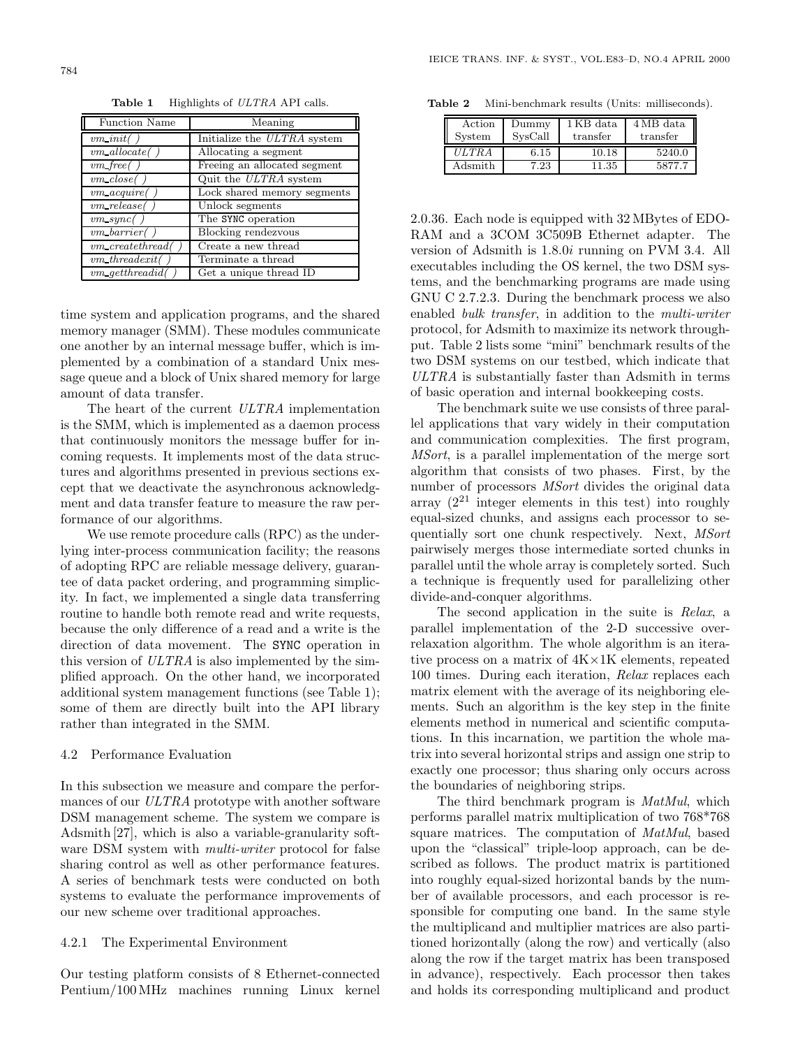time system and application programs, and the shared memory manager (SMM). These modules communicate one another by an internal message buffer, which is implemented by a combination of a standard Unix message queue and a block of Unix shared memory for large amount of data transfer.

The heart of the current *ULTRA* implementation is the SMM, which is implemented as a daemon process that continuously monitors the message buffer for incoming requests. It implements most of the data structures and algorithms presented in previous sections except that we deactivate the asynchronous acknowledgment and data transfer feature to measure the raw performance of our algorithms.

We use remote procedure calls (RPC) as the underlying inter-process communication facility; the reasons of adopting RPC are reliable message delivery, guarantee of data packet ordering, and programming simplicity. In fact, we implemented a single data transferring routine to handle both remote read and write requests, because the only difference of a read and a write is the direction of data movement. The SYNC operation in this version of *ULTRA* is also implemented by the simplified approach. On the other hand, we incorporated additional system management functions (see Table 1); some of them are directly built into the API library rather than integrated in the SMM.

# 4.2 Performance Evaluation

In this subsection we measure and compare the performances of our *ULTRA* prototype with another software DSM management scheme. The system we compare is Adsmith [27], which is also a variable-granularity software DSM system with *multi-writer* protocol for false sharing control as well as other performance features. A series of benchmark tests were conducted on both systems to evaluate the performance improvements of our new scheme over traditional approaches.

# 4.2.1 The Experimental Environment

Our testing platform consists of 8 Ethernet-connected Pentium/100 MHz machines running Linux kernel

**Table 2** Mini-benchmark results (Units: milliseconds).

| Action<br>System | Dummy<br>SysCall | 1 KB data<br>transfer | $4MB$ data<br>transfer |
|------------------|------------------|-----------------------|------------------------|
| <b>ULTRA</b>     | 6.15             | 10.18                 | 5240.0                 |
| Adsmith          | 7.23             | 11.35                 | 5877.7                 |

2.0.36. Each node is equipped with 32 MBytes of EDO-RAM and a 3COM 3C509B Ethernet adapter. The version of Adsmith is 1.8.0*i* running on PVM 3.4. All executables including the OS kernel, the two DSM systems, and the benchmarking programs are made using GNU C 2.7.2.3. During the benchmark process we also enabled *bulk transfer*, in addition to the *multi-writer* protocol, for Adsmith to maximize its network throughput. Table 2 lists some "mini" benchmark results of the two DSM systems on our testbed, which indicate that *ULTRA* is substantially faster than Adsmith in terms of basic operation and internal bookkeeping costs.

The benchmark suite we use consists of three parallel applications that vary widely in their computation and communication complexities. The first program, *MSort*, is a parallel implementation of the merge sort algorithm that consists of two phases. First, by the number of processors *MSort* divides the original data array  $(2^{21}$  integer elements in this test) into roughly equal-sized chunks, and assigns each processor to sequentially sort one chunk respectively. Next, *MSort* pairwisely merges those intermediate sorted chunks in parallel until the whole array is completely sorted. Such a technique is frequently used for parallelizing other divide-and-conquer algorithms.

The second application in the suite is *Relax*, a parallel implementation of the 2-D successive overrelaxation algorithm. The whole algorithm is an iterative process on a matrix of 4K×1K elements, repeated 100 times. During each iteration, *Relax* replaces each matrix element with the average of its neighboring elements. Such an algorithm is the key step in the finite elements method in numerical and scientific computations. In this incarnation, we partition the whole matrix into several horizontal strips and assign one strip to exactly one processor; thus sharing only occurs across the boundaries of neighboring strips.

The third benchmark program is *MatMul*, which performs parallel matrix multiplication of two 768\*768 square matrices. The computation of *MatMul*, based upon the "classical" triple-loop approach, can be described as follows. The product matrix is partitioned into roughly equal-sized horizontal bands by the number of available processors, and each processor is responsible for computing one band. In the same style the multiplicand and multiplier matrices are also partitioned horizontally (along the row) and vertically (also along the row if the target matrix has been transposed in advance), respectively. Each processor then takes and holds its corresponding multiplicand and product

| <b>Function Name</b>        | Meaning                      |
|-----------------------------|------------------------------|
| $vm\ init($                 | Initialize the ULTRA system  |
| $vm\_allocate$              | Allocating a segment         |
| $vm\_free($                 | Freeing an allocated segment |
| $vm\_close($                | Quit the ULTRA system        |
| $vm \, \, \textit{acquire}$ | Lock shared memory segments  |
| $vm\_release($              | Unlock segments              |
| $vm\_sync($                 | The SYNC operation           |
| vm barrier                  | Blocking rendezvous          |
| $vm\_createthread$          | Create a new thread          |
| vm_threadexit(              | Terminate a thread           |
| $vm\_getthreadid$           | Get a unique thread ID       |

**Table 1** Highlights of *ULTRA* API calls.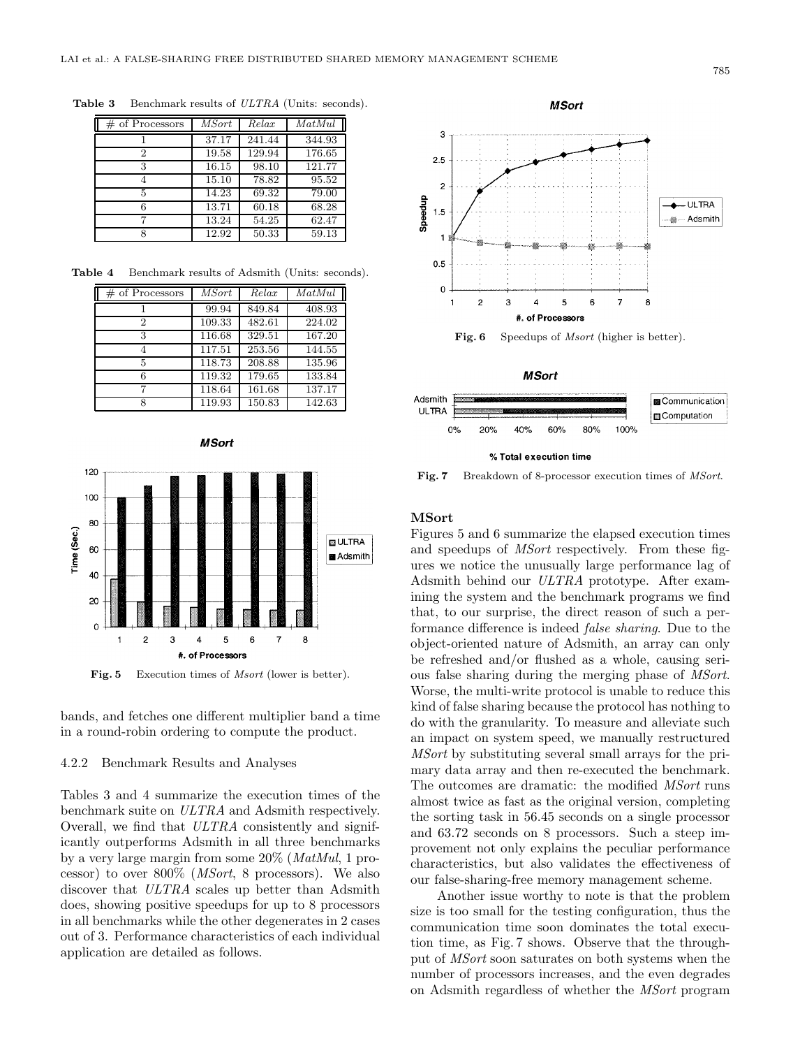| $\#$ of Processors | <i>MSort</i> | Relax  | MatMul |
|--------------------|--------------|--------|--------|
|                    | 37.17        | 241.44 | 344.93 |
| 2                  | 19.58        | 129.94 | 176.65 |
| 3                  | 16.15        | 98.10  | 121.77 |
|                    | 15.10        | 78.82  | 95.52  |
| 5                  | 14.23        | 69.32  | 79.00  |
| 6                  | 13.71        | 60.18  | 68.28  |
|                    | 13.24        | 54.25  | 62.47  |
|                    | 12.92        | 50.33  | 59.13  |

**Table 3** Benchmark results of *ULTRA* (Units: seconds).

**Table 4** Benchmark results of Adsmith (Units: seconds).

| $\#$ of Processors | <b>MSort</b> | Relax  | MatMul |
|--------------------|--------------|--------|--------|
|                    | 99.94        | 849.84 | 408.93 |
| 2                  | 109.33       | 482.61 | 224.02 |
| 3                  | 116.68       | 329.51 | 167.20 |
|                    | 117.51       | 253.56 | 144.55 |
| 5                  | 118.73       | 208.88 | 135.96 |
| 6                  | 119.32       | 179.65 | 133.84 |
|                    | 118.64       | 161.68 | 137.17 |
| o                  | 119.93       | 150.83 | 142.63 |





**Fig. 5** Execution times of *Msort* (lower is better).

bands, and fetches one different multiplier band a time in a round-robin ordering to compute the product.

#### 4.2.2 Benchmark Results and Analyses

Tables 3 and 4 summarize the execution times of the benchmark suite on *ULTRA* and Adsmith respectively. Overall, we find that *ULTRA* consistently and significantly outperforms Adsmith in all three benchmarks by a very large margin from some 20% (*MatMul*, 1 processor) to over 800% (*MSort*, 8 processors). We also discover that *ULTRA* scales up better than Adsmith does, showing positive speedups for up to 8 processors in all benchmarks while the other degenerates in 2 cases out of 3. Performance characteristics of each individual application are detailed as follows.





**Fig. 7** Breakdown of 8-processor execution times of *MSort*.

#### **MSort**

Figures 5 and 6 summarize the elapsed execution times and speedups of *MSort* respectively. From these figures we notice the unusually large performance lag of Adsmith behind our *ULTRA* prototype. After examining the system and the benchmark programs we find that, to our surprise, the direct reason of such a performance difference is indeed *false sharing*. Due to the object-oriented nature of Adsmith, an array can only be refreshed and/or flushed as a whole, causing serious false sharing during the merging phase of *MSort*. Worse, the multi-write protocol is unable to reduce this kind of false sharing because the protocol has nothing to do with the granularity. To measure and alleviate such an impact on system speed, we manually restructured *MSort* by substituting several small arrays for the primary data array and then re-executed the benchmark. The outcomes are dramatic: the modified *MSort* runs almost twice as fast as the original version, completing the sorting task in 56.45 seconds on a single processor and 63.72 seconds on 8 processors. Such a steep improvement not only explains the peculiar performance characteristics, but also validates the effectiveness of our false-sharing-free memory management scheme.

Another issue worthy to note is that the problem size is too small for the testing configuration, thus the communication time soon dominates the total execution time, as Fig. 7 shows. Observe that the throughput of *MSort* soon saturates on both systems when the number of processors increases, and the even degrades on Adsmith regardless of whether the *MSort* program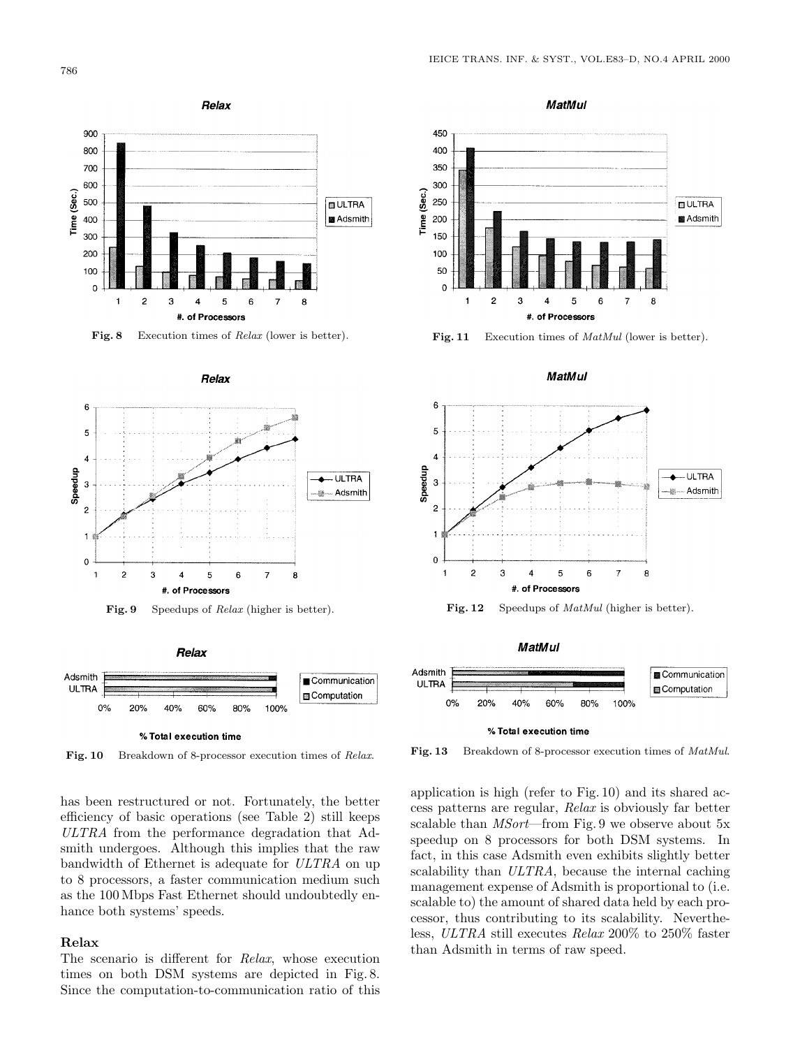







**Fig. 10** Breakdown of 8-processor execution times of *Relax*.

has been restructured or not. Fortunately, the better efficiency of basic operations (see Table 2) still keeps *ULTRA* from the performance degradation that Adsmith undergoes. Although this implies that the raw bandwidth of Ethernet is adequate for *ULTRA* on up to 8 processors, a faster communication medium such as the 100 Mbps Fast Ethernet should undoubtedly enhance both systems' speeds.

## **Relax**

The scenario is different for *Relax*, whose execution times on both DSM systems are depicted in Fig. 8. Since the computation-to-communication ratio of this









**Fig. 13** Breakdown of 8-processor execution times of *MatMul*.

application is high (refer to Fig. 10) and its shared access patterns are regular, *Relax* is obviously far better scalable than *MSort*—from Fig. 9 we observe about 5x speedup on 8 processors for both DSM systems. In fact, in this case Adsmith even exhibits slightly better scalability than *ULTRA*, because the internal caching management expense of Adsmith is proportional to (i.e. scalable to) the amount of shared data held by each processor, thus contributing to its scalability. Nevertheless, *ULTRA* still executes *Relax* 200% to 250% faster than Adsmith in terms of raw speed.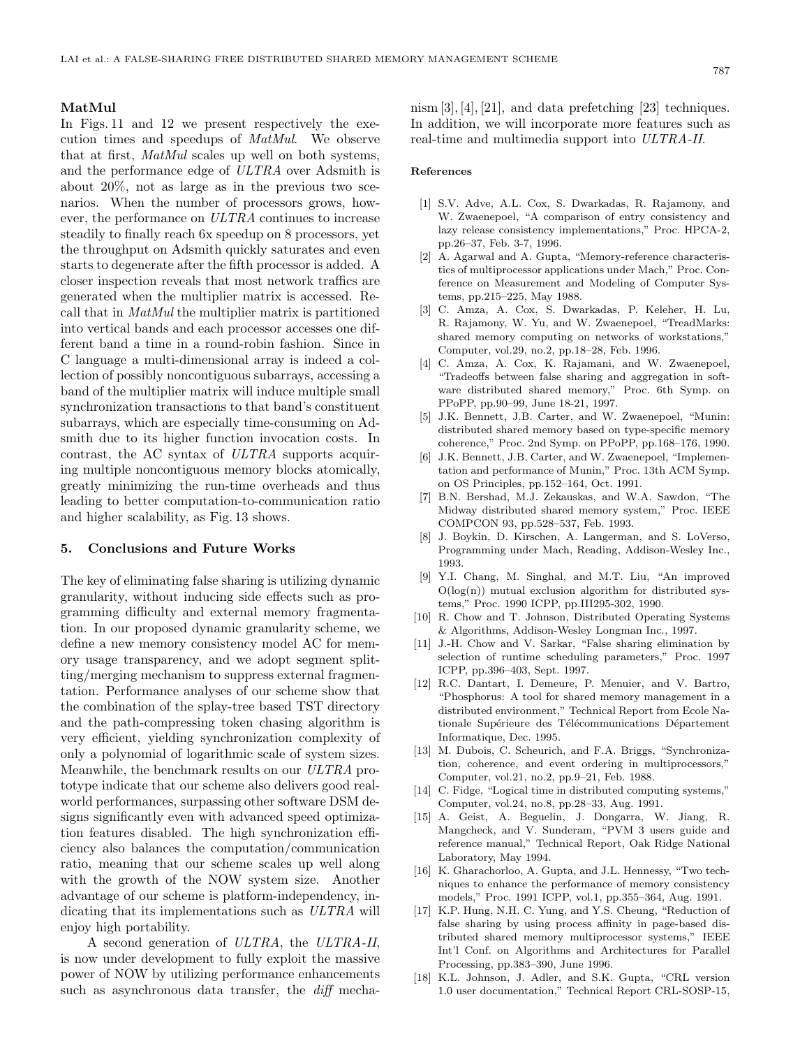#### 787

#### **MatMul**

In Figs. 11 and 12 we present respectively the execution times and speedups of *MatMul*. We observe that at first, *MatMul* scales up well on both systems, and the performance edge of *ULTRA* over Adsmith is about 20%, not as large as in the previous two scenarios. When the number of processors grows, however, the performance on *ULTRA* continues to increase steadily to finally reach 6x speedup on 8 processors, yet the throughput on Adsmith quickly saturates and even starts to degenerate after the fifth processor is added. A closer inspection reveals that most network traffics are generated when the multiplier matrix is accessed. Recall that in *MatMul* the multiplier matrix is partitioned into vertical bands and each processor accesses one different band a time in a round-robin fashion. Since in C language a multi-dimensional array is indeed a collection of possibly noncontiguous subarrays, accessing a band of the multiplier matrix will induce multiple small synchronization transactions to that band's constituent subarrays, which are especially time-consuming on Adsmith due to its higher function invocation costs. In contrast, the AC syntax of *ULTRA* supports acquiring multiple noncontiguous memory blocks atomically, greatly minimizing the run-time overheads and thus leading to better computation-to-communication ratio and higher scalability, as Fig. 13 shows.

#### **5. Conclusions and Future Works**

The key of eliminating false sharing is utilizing dynamic granularity, without inducing side effects such as programming difficulty and external memory fragmentation. In our proposed dynamic granularity scheme, we define a new memory consistency model AC for memory usage transparency, and we adopt segment splitting/merging mechanism to suppress external fragmentation. Performance analyses of our scheme show that the combination of the splay-tree based TST directory and the path-compressing token chasing algorithm is very efficient, yielding synchronization complexity of only a polynomial of logarithmic scale of system sizes. Meanwhile, the benchmark results on our *ULTRA* prototype indicate that our scheme also delivers good realworld performances, surpassing other software DSM designs significantly even with advanced speed optimization features disabled. The high synchronization efficiency also balances the computation/communication ratio, meaning that our scheme scales up well along with the growth of the NOW system size. Another advantage of our scheme is platform-independency, indicating that its implementations such as *ULTRA* will enjoy high portability.

A second generation of *ULTRA*, the *ULTRA-II*, is now under development to fully exploit the massive power of NOW by utilizing performance enhancements such as asynchronous data transfer, the *diff* mechanism [3], [4], [21], and data prefetching [23] techniques. In addition, we will incorporate more features such as real-time and multimedia support into *ULTRA-II*.

#### **References**

- [1] S.V. Adve, A.L. Cox, S. Dwarkadas, R. Rajamony, and W. Zwaenepoel, "A comparison of entry consistency and lazy release consistency implementations," Proc. HPCA-2, pp.26–37, Feb. 3-7, 1996.
- [2] A. Agarwal and A. Gupta, "Memory-reference characteristics of multiprocessor applications under Mach," Proc. Conference on Measurement and Modeling of Computer Systems, pp.215–225, May 1988.
- [3] C. Amza, A. Cox, S. Dwarkadas, P. Keleher, H. Lu, R. Rajamony, W. Yu, and W. Zwaenepoel, "TreadMarks: shared memory computing on networks of workstations," Computer, vol.29, no.2, pp.18–28, Feb. 1996.
- [4] C. Amza, A. Cox, K. Rajamani, and W. Zwaenepoel, "Tradeoffs between false sharing and aggregation in software distributed shared memory," Proc. 6th Symp. on PPoPP, pp.90–99, June 18-21, 1997.
- [5] J.K. Bennett, J.B. Carter, and W. Zwaenepoel, "Munin: distributed shared memory based on type-specific memory coherence," Proc. 2nd Symp. on PPoPP, pp.168–176, 1990.
- [6] J.K. Bennett, J.B. Carter, and W. Zwaenepoel, "Implementation and performance of Munin," Proc. 13th ACM Symp. on OS Principles, pp.152–164, Oct. 1991.
- [7] B.N. Bershad, M.J. Zekauskas, and W.A. Sawdon, "The Midway distributed shared memory system," Proc. IEEE COMPCON 93, pp.528–537, Feb. 1993.
- [8] J. Boykin, D. Kirschen, A. Langerman, and S. LoVerso, Programming under Mach, Reading, Addison-Wesley Inc., 1993.
- [9] Y.I. Chang, M. Singhal, and M.T. Liu, "An improved  $O(log(n))$  mutual exclusion algorithm for distributed systems," Proc. 1990 ICPP, pp.III295-302, 1990.
- [10] R. Chow and T. Johnson, Distributed Operating Systems & Algorithms, Addison-Wesley Longman Inc., 1997.
- [11] J.-H. Chow and V. Sarkar, "False sharing elimination by selection of runtime scheduling parameters," Proc. 1997 ICPP, pp.396–403, Sept. 1997.
- [12] R.C. Dantart, I. Demeure, P. Menuier, and V. Bartro, "Phosphorus: A tool for shared memory management in a distributed environment," Technical Report from Ecole Nationale Supérieure des Télécommunications Département Informatique, Dec. 1995.
- [13] M. Dubois, C. Scheurich, and F.A. Briggs, "Synchronization, coherence, and event ordering in multiprocessors," Computer, vol.21, no.2, pp.9–21, Feb. 1988.
- [14] C. Fidge, "Logical time in distributed computing systems," Computer, vol.24, no.8, pp.28–33, Aug. 1991.
- [15] A. Geist, A. Beguelin, J. Dongarra, W. Jiang, R. Mangcheck, and V. Sunderam, "PVM 3 users guide and reference manual," Technical Report, Oak Ridge National Laboratory, May 1994.
- [16] K. Gharachorloo, A. Gupta, and J.L. Hennessy, "Two techniques to enhance the performance of memory consistency models," Proc. 1991 ICPP, vol.1, pp.355–364, Aug. 1991.
- [17] K.P. Hung, N.H. C. Yung, and Y.S. Cheung, "Reduction of false sharing by using process affinity in page-based distributed shared memory multiprocessor systems," IEEE Int'l Conf. on Algorithms and Architectures for Parallel Processing, pp.383–390, June 1996.
- [18] K.L. Johnson, J. Adler, and S.K. Gupta, "CRL version 1.0 user documentation," Technical Report CRL-SOSP-15,